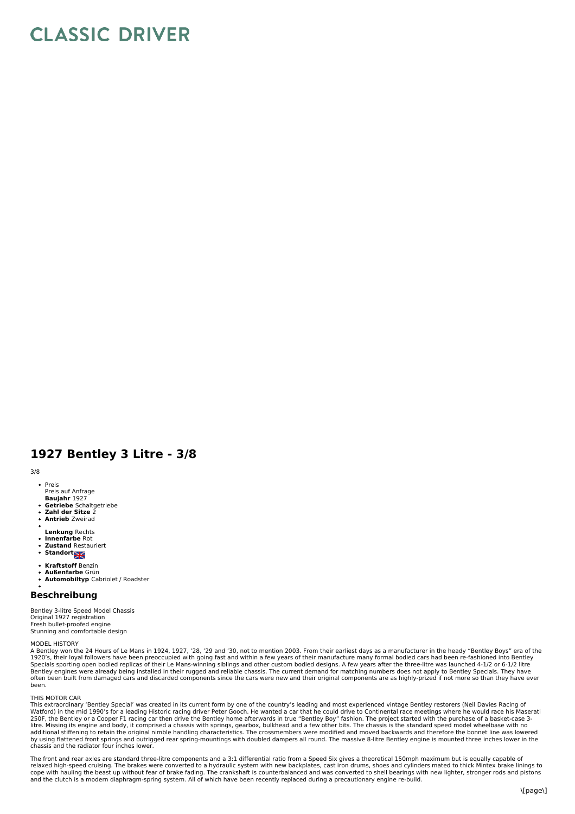# **CLASSIC DRIVER**

## **1927 Bentley 3 Litre - 3/8**

3/8

- Preis
- Preis auf Anfrage
- **Baujahr** 1927<br>**Getriebe** Schaltgetriebe
- 
- **Zahl der Sitze** 2 **Antrieb** Zweirad
- **Lenkung** Rechts
- $\ddot{\phantom{0}}$ **Innenfarbe** Rot<br>**Zustand** Restauriert
- **Standort**
- **Kraftstoff** Benzin  $\ddot{\phantom{a}}$
- 
- **Außenfarbe** Grün **Automobiltyp** Cabriolet / Roadster

### **Beschreibung**

Bentley 3-litre Speed Model Chassis Original 1927 registration Fresh bullet-proofed engine Stunning and comfortable design

MODEL HISTORY<br>A Bentley won the 24 Hours of Le Mans in 1924, 1927, '28, '29 and '30, not to mention 2003. From their earliest days as a manufacturer in the heady "Bentley Boys" era of the<br>1920's, their loyal followers have often been built from damaged cars and discarded components since the cars were new and their original components are as highly-prized if not more so than they have ever been.

#### THIS MOTOR CAR

This extraordinary 'Bentley Special' was created in its current form by one of the country's leading and most experienced vintage Bentley restorers (Neil Davies Racing of<br>Watford) in the mid 1990's for a leading Historic r by using flattened front springs and outrigged rear spring-mountings with doubled dampers all round. The massive 8-litre Bentley engine is mounted three inches lower in the chassis and the radiator four inches lower.

The front and rear axles are standard three-litre components and a 3:1 differential ratio from a Speed Six gives a theoretical 150mph maximum but is equally capable of<br>relaxed high-speed cruising. The brakes were converted cope with hauling the beast up without fear of brake fading. The crankshaft is counterbalanced and was converted to shell bearings with new lighter, stronger rods and pistons<br>and the clutch is a modern diaphragm-spring sys